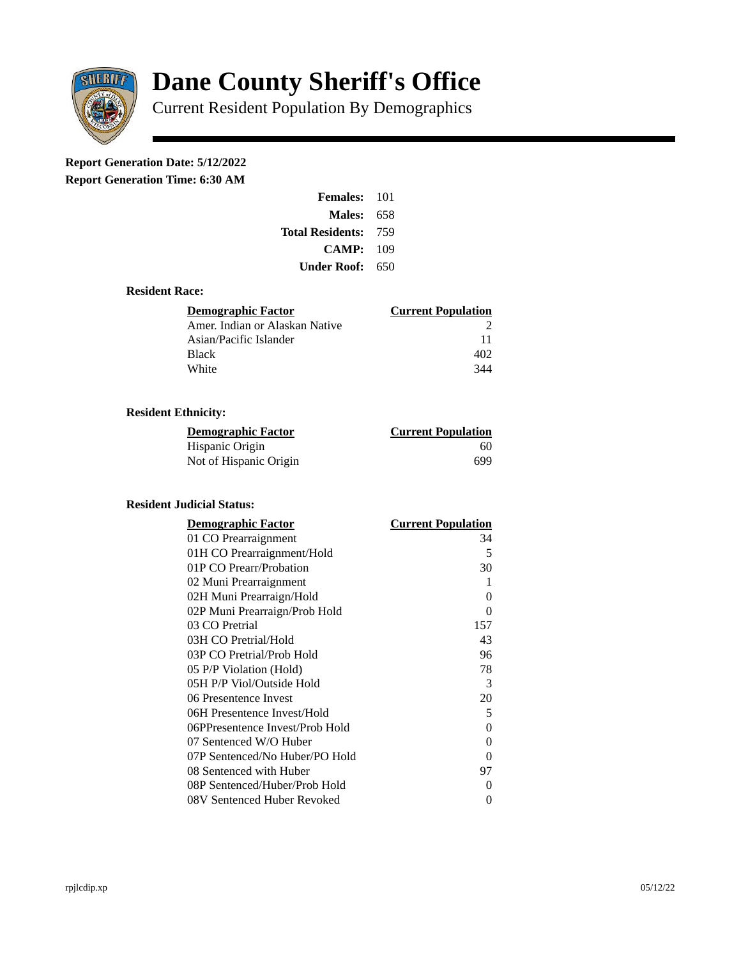

# **Dane County Sheriff's Office**

Current Resident Population By Demographics

## **Report Generation Date: 5/12/2022**

**Report Generation Time: 6:30 AM** 

| <b>Females: 101</b>         |     |
|-----------------------------|-----|
| Males:                      | 658 |
| <b>Total Residents: 759</b> |     |
| CAMP:                       | 109 |
| Under Roof:                 | 650 |

#### **Resident Race:**

| Demographic Factor             | <b>Current Population</b> |
|--------------------------------|---------------------------|
| Amer. Indian or Alaskan Native |                           |
| Asian/Pacific Islander         | 11                        |
| Black                          | 402                       |
| White                          | 344                       |

### **Resident Ethnicity:**

| <u>Demographic Factor</u> | <b>Current Population</b> |
|---------------------------|---------------------------|
| Hispanic Origin           | 60                        |
| Not of Hispanic Origin    | 699                       |

#### **Resident Judicial Status:**

| <b>Demographic Factor</b>       | <b>Current Population</b> |
|---------------------------------|---------------------------|
| 01 CO Prearraignment            | 34                        |
| 01H CO Prearraignment/Hold      | .5                        |
| 01P CO Prearr/Probation         | 30                        |
| 02 Muni Prearraignment          | 1                         |
| 02H Muni Prearraign/Hold        | 0                         |
| 02P Muni Prearraign/Prob Hold   | 0                         |
| 03 CO Pretrial                  | 157                       |
| 03H CO Pretrial/Hold            | 43                        |
| 03P CO Pretrial/Prob Hold       | 96                        |
| 05 P/P Violation (Hold)         | 78                        |
| 05H P/P Viol/Outside Hold       | 3                         |
| 06 Presentence Invest           | 20                        |
| 06H Presentence Invest/Hold     | 5                         |
| 06PPresentence Invest/Prob Hold | 0                         |
| 07 Sentenced W/O Huber          | 0                         |
| 07P Sentenced/No Huber/PO Hold  | 0                         |
| 08 Sentenced with Huber         | 97                        |
| 08P Sentenced/Huber/Prob Hold   | O                         |
| 08V Sentenced Huber Revoked     | 0                         |